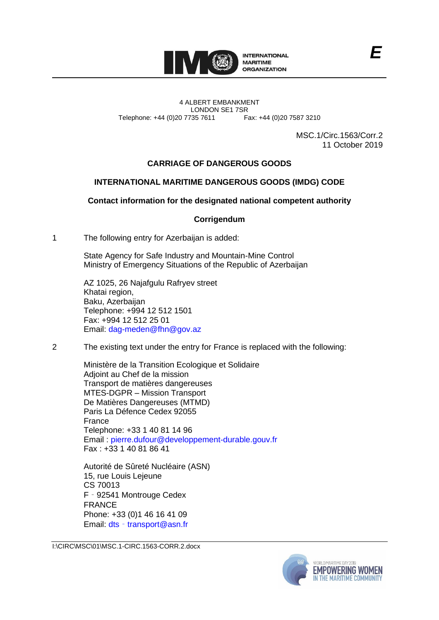

4 ALBERT EMBANKMENT Telephone: +44 (0)20 7735 7611

LONDON SE1 7SR<br>735 7611 Fax: +44 (0)20 7587 3210

MSC.1/Circ.1563/Corr.2 11 October 2019

# **CARRIAGE OF DANGEROUS GOODS**

## **INTERNATIONAL MARITIME DANGEROUS GOODS (IMDG) CODE**

### **Contact information for the designated national competent authority**

#### **Corrigendum**

1 The following entry for Azerbaijan is added:

State Agency for Safe Industry and Mountain-Mine Control Ministry of Emergency Situations of the Republic of Azerbaijan

AZ 1025, 26 Najafgulu Rafryev street Khatai region, Baku, Azerbaijan Telephone: +994 12 512 1501 Fax: +994 12 512 25 01 Email: [dag-meden@fhn@gov.az](mailto:dag-meden@fhn@gov.az)

## 2 The existing text under the entry for France is replaced with the following:

Ministère de la Transition Ecologique et Solidaire Adjoint au Chef de la mission Transport de matières dangereuses MTES-DGPR – Mission Transport De Matières Dangereuses (MTMD) Paris La Défence Cedex 92055 France Telephone: +33 1 40 81 14 96 Email : [pierre.dufour@developpement-durable.gouv.fr](mailto:pierre.dufour@developpement-durable.gouv.fr) Fax : +33 1 40 81 86 41

Autorité de Sûreté Nucléaire (ASN) 15, rue Louis Lejeune CS 70013 F‐92541 Montrouge Cedex FRANCE Phone: +33 (0)1 46 16 41 09 Email: dts - transport@asn.fr

I:\CIRC\MSC\01\MSC.1-CIRC.1563-CORR.2.docx

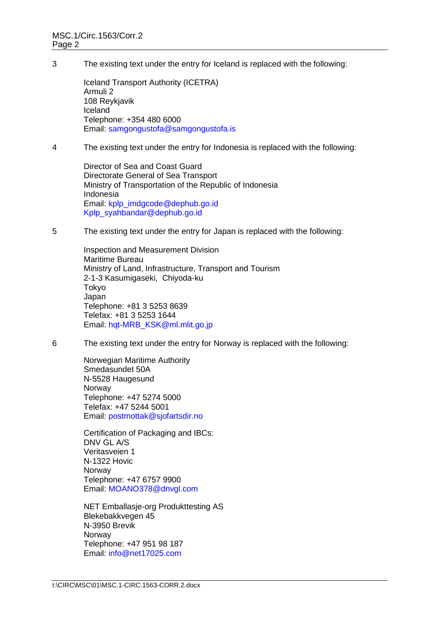3 The existing text under the entry for Iceland is replaced with the following:

Iceland Transport Authority (ICETRA) Armuli 2 108 Reykjavik Iceland Telephone: +354 480 6000 Email: [samgongustofa@samgongustofa.is](mailto:samgongustofa@samgongustofa.is)

4 The existing text under the entry for Indonesia is replaced with the following:

Director of Sea and Coast Guard Directorate General of Sea Transport Ministry of Transportation of the Republic of Indonesia Indonesia Email: [kplp\\_imdgcode@dephub.go.id](mailto:kplp_imdgcode@dephub.go.id) [Kplp\\_syahbandar@dephub.go.id](mailto:Kplp_syahbandar@dephub.go.id)

5 The existing text under the entry for Japan is replaced with the following:

Inspection and Measurement Division Maritime Bureau Ministry of Land, Infrastructure, Transport and Tourism 2-1-3 Kasumigaseki, Chiyoda-ku Tokyo Japan Telephone: +81 3 5253 8639 Telefax: +81 3 5253 1644 Email: [hqt-MRB\\_KSK@ml.mlit.go.jp](mailto:hqt-MRB_KSK@ml.mlit.go.jp)

6 The existing text under the entry for Norway is replaced with the following:

Norwegian Maritime Authority Smedasundet 50A N-5528 Haugesund Norway Telephone: +47 5274 5000 Telefax: +47 5244 5001 Email: postmottak@sjofartsdir.no

Certification of Packaging and IBCs: DNV GL A/S Veritasveien 1 N-1322 Hovic Norway Telephone: +47 6757 9900 Email: [MOANO378@dnvgl.com](mailto:MOANO378@dnvgl.com)

NET Emballasje-org Produkttesting AS Blekebakkvegen 45 N-3950 Brevik Norway Telephone: +47 951 98 187 Email: [info@net17025.com](mailto:info@net17025.com)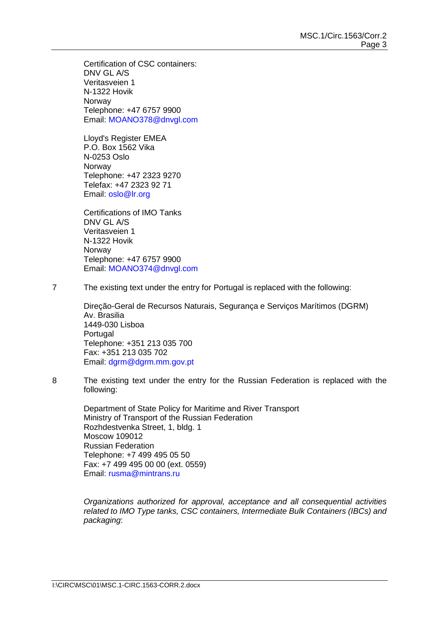Certification of CSC containers: DNV GL A/S Veritasveien 1 N-1322 Hovik Norway Telephone: +47 6757 9900 Email: [MOANO378@dnvgl.com](mailto:MOANO378@dnvgl.com)

Lloyd's Register EMEA P.O. Box 1562 Vika N-0253 Oslo **Norway** Telephone: +47 2323 9270 Telefax: +47 2323 92 71 Email: [oslo@lr.org](mailto:oslo@lr.org)

Certifications of IMO Tanks DNV GL A/S Veritasveien 1 N-1322 Hovik **Norway** Telephone: +47 6757 9900 Email: [MOANO374@dnvgl.com](mailto:MOANO374@dnvgl.com)

7 The existing text under the entry for Portugal is replaced with the following:

Direção-Geral de Recursos Naturais, Segurança e Serviços Marítimos (DGRM) Av. Brasilia 1449-030 Lisboa Portugal Telephone: +351 213 035 700 Fax: +351 213 035 702 Email: [dgrm@dgrm.mm.gov.pt](mailto:dgrm@dgrm.mm.gov.pt)

8 The existing text under the entry for the Russian Federation is replaced with the following:

Department of State Policy for Maritime and River Transport Ministry of Transport of the Russian Federation Rozhdestvenka Street, 1, bldg. 1 Moscow 109012 Russian Federation Telephone: +7 499 495 05 50 Fax: +7 499 495 00 00 (ext. 0559) Email: rusma@mintrans.ru

*Organizations authorized for approval, acceptance and all consequential activities related to IMO Type tanks, CSC containers, Intermediate Bulk Containers (IBCs) and packaging*: